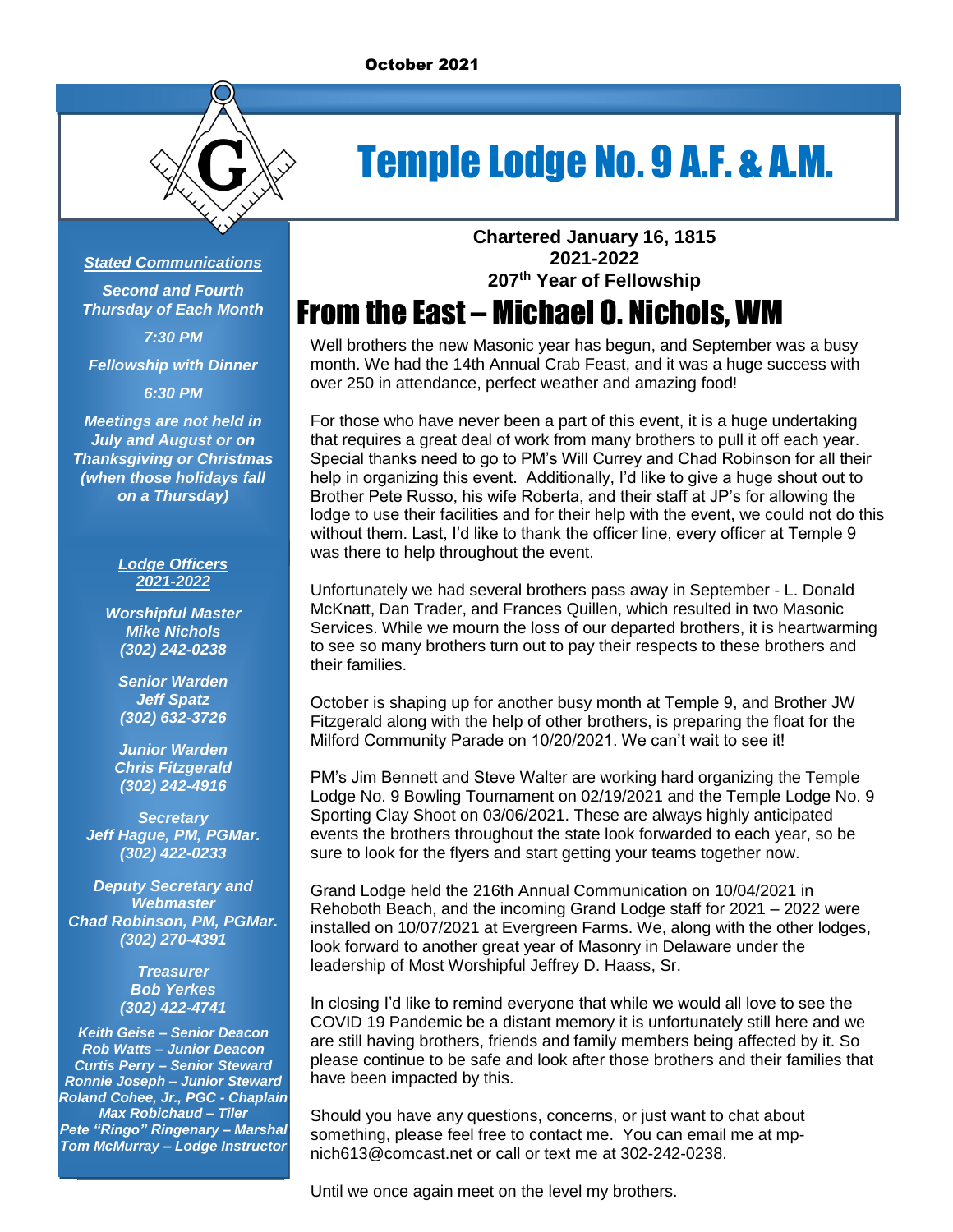

# Temple Lodge No. 9 A.F. & A.M.

### *Stated Communications*

*Second and Fourth Thursday of Each Month 7:30 PM*

*Fellowship with Dinner*

*6:30 PM*

*Meetings are not held in July and August or on Thanksgiving or Christmas (when those holidays fall on a Thursday)*

### *Lodge Officers 2021-2022*

*Worshipful Master Mike Nichols (302) 242-0238*

*Senior Warden Jeff Spatz (302) 632-3726*

*Junior Warden Chris Fitzgerald (302) 242-4916*

*Secretary Jeff Hague, PM, PGMar. (302) 422-0233*

*Deputy Secretary and Webmaster Chad Robinson, PM, PGMar. (302) 270-4391*

> *Treasurer Bob Yerkes (302) 422-4741*

*Keith Geise – Senior Deacon Rob Watts – Junior Deacon Curtis Perry – Senior Steward Ronnie Joseph – Junior Steward Roland Cohee, Jr., PGC - Chaplain Max Robichaud – Tiler Pete "Ringo" Ringenary – Marshal Tom McMurray – Lodge Instructor* **Chartered January 16, 1815 2021-2022 207 th Year of Fellowship**

## From the East – Michael O. Nichols, WM

Well brothers the new Masonic year has begun, and September was a busy month. We had the 14th Annual Crab Feast, and it was a huge success with over 250 in attendance, perfect weather and amazing food!

For those who have never been a part of this event, it is a huge undertaking that requires a great deal of work from many brothers to pull it off each year. Special thanks need to go to PM's Will Currey and Chad Robinson for all their help in organizing this event. Additionally, I'd like to give a huge shout out to Brother Pete Russo, his wife Roberta, and their staff at JP's for allowing the lodge to use their facilities and for their help with the event, we could not do this without them. Last, I'd like to thank the officer line, every officer at Temple 9 was there to help throughout the event.

Unfortunately we had several brothers pass away in September - L. Donald McKnatt, Dan Trader, and Frances Quillen, which resulted in two Masonic Services. While we mourn the loss of our departed brothers, it is heartwarming to see so many brothers turn out to pay their respects to these brothers and their families.

October is shaping up for another busy month at Temple 9, and Brother JW Fitzgerald along with the help of other brothers, is preparing the float for the Milford Community Parade on 10/20/2021. We can't wait to see it!

PM's Jim Bennett and Steve Walter are working hard organizing the Temple Lodge No. 9 Bowling Tournament on 02/19/2021 and the Temple Lodge No. 9 Sporting Clay Shoot on 03/06/2021. These are always highly anticipated events the brothers throughout the state look forwarded to each year, so be sure to look for the flyers and start getting your teams together now.

Grand Lodge held the 216th Annual Communication on 10/04/2021 in Rehoboth Beach, and the incoming Grand Lodge staff for 2021 – 2022 were installed on 10/07/2021 at Evergreen Farms. We, along with the other lodges, look forward to another great year of Masonry in Delaware under the leadership of Most Worshipful Jeffrey D. Haass, Sr.

In closing I'd like to remind everyone that while we would all love to see the COVID 19 Pandemic be a distant memory it is unfortunately still here and we are still having brothers, friends and family members being affected by it. So please continue to be safe and look after those brothers and their families that have been impacted by this.

Should you have any questions, concerns, or just want to chat about something, please feel free to contact me. You can email me at mpnich613@comcast.net or call or text me at 302-242-0238.

Until we once again meet on the level my brothers.